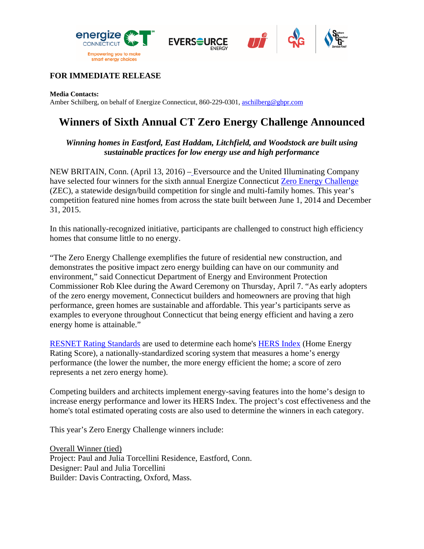





## **FOR IMMEDIATE RELEASE**

**Media Contacts:** 

Amber Schilberg, on behalf of Energize Connecticut, 860-229-0301, aschilberg@gbpr.com

## **Winners of Sixth Annual CT Zero Energy Challenge Announced**

*Winning homes in Eastford, East Haddam, Litchfield, and Woodstock are built using sustainable practices for low energy use and high performance* 

NEW BRITAIN, Conn. (April 13, 2016) – Eversource and the United Illuminating Company have selected four winners for the sixth annual Energize Connecticut Zero Energy Challenge (ZEC), a statewide design/build competition for single and multi-family homes. This year's competition featured nine homes from across the state built between June 1, 2014 and December 31, 2015.

In this nationally-recognized initiative, participants are challenged to construct high efficiency homes that consume little to no energy.

"The Zero Energy Challenge exemplifies the future of residential new construction, and demonstrates the positive impact zero energy building can have on our community and environment," said Connecticut Department of Energy and Environment Protection Commissioner Rob Klee during the Award Ceremony on Thursday, April 7. "As early adopters of the zero energy movement, Connecticut builders and homeowners are proving that high performance, green homes are sustainable and affordable. This year's participants serve as examples to everyone throughout Connecticut that being energy efficient and having a zero energy home is attainable."

RESNET Rating Standards are used to determine each home's HERS Index (Home Energy Rating Score), a nationally-standardized scoring system that measures a home's energy performance (the lower the number, the more energy efficient the home; a score of zero represents a net zero energy home).

Competing builders and architects implement energy-saving features into the home's design to increase energy performance and lower its HERS Index. The project's cost effectiveness and the home's total estimated operating costs are also used to determine the winners in each category.

This year's Zero Energy Challenge winners include:

Overall Winner (tied) Project: Paul and Julia Torcellini Residence, Eastford, Conn. Designer: Paul and Julia Torcellini Builder: Davis Contracting, Oxford, Mass.